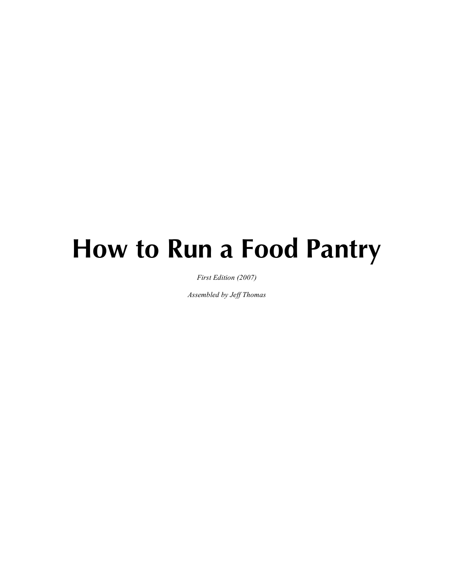# **How to Run a Food Pantry**

*First Edition (2007)*

*Assembled by Jeff Thomas*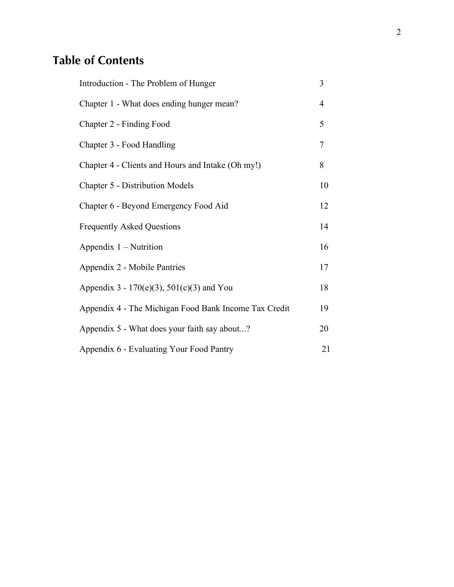# **Table of Contents**

| Introduction - The Problem of Hunger                  | 3              |
|-------------------------------------------------------|----------------|
| Chapter 1 - What does ending hunger mean?             | $\overline{4}$ |
| Chapter 2 - Finding Food                              | 5              |
| Chapter 3 - Food Handling                             | $\overline{7}$ |
| Chapter 4 - Clients and Hours and Intake (Oh my!)     | 8              |
| Chapter 5 - Distribution Models                       | 10             |
| Chapter 6 - Beyond Emergency Food Aid                 | 12             |
| <b>Frequently Asked Questions</b>                     | 14             |
| Appendix $1 -$ Nutrition                              | 16             |
| Appendix 2 - Mobile Pantries                          | 17             |
| Appendix $3 - 170(e)(3)$ , $501(c)(3)$ and You        | 18             |
| Appendix 4 - The Michigan Food Bank Income Tax Credit | 19             |
| Appendix 5 - What does your faith say about?          | 20             |
| Appendix 6 - Evaluating Your Food Pantry              | 21             |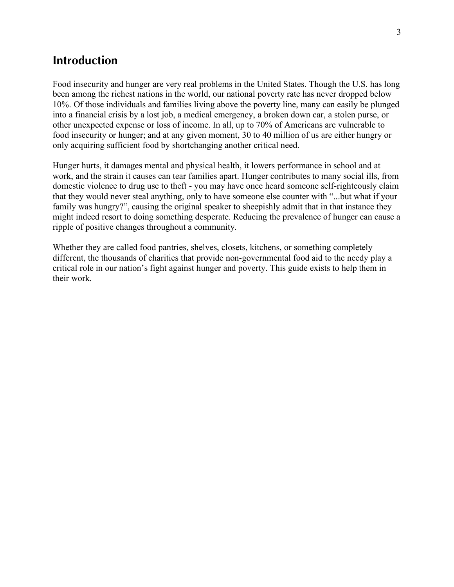## **Introduction**

Food insecurity and hunger are very real problems in the United States. Though the U.S. has long been among the richest nations in the world, our national poverty rate has never dropped below 10%. Of those individuals and families living above the poverty line, many can easily be plunged into a financial crisis by a lost job, a medical emergency, a broken down car, a stolen purse, or other unexpected expense or loss of income. In all, up to 70% of Americans are vulnerable to food insecurity or hunger; and at any given moment, 30 to 40 million of us are either hungry or only acquiring sufficient food by shortchanging another critical need.

Hunger hurts, it damages mental and physical health, it lowers performance in school and at work, and the strain it causes can tear families apart. Hunger contributes to many social ills, from domestic violence to drug use to theft - you may have once heard someone self-righteously claim that they would never steal anything, only to have someone else counter with "...but what if your family was hungry?", causing the original speaker to sheepishly admit that in that instance they might indeed resort to doing something desperate. Reducing the prevalence of hunger can cause a ripple of positive changes throughout a community.

Whether they are called food pantries, shelves, closets, kitchens, or something completely different, the thousands of charities that provide non-governmental food aid to the needy play a critical role in our nation's fight against hunger and poverty. This guide exists to help them in their work.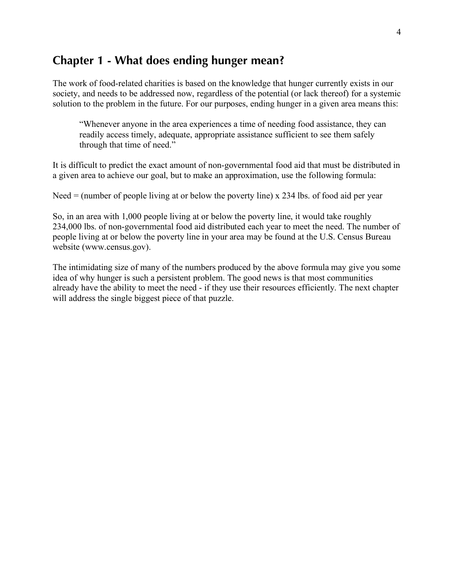## **Chapter 1 - What does ending hunger mean?**

The work of food-related charities is based on the knowledge that hunger currently exists in our society, and needs to be addressed now, regardless of the potential (or lack thereof) for a systemic solution to the problem in the future. For our purposes, ending hunger in a given area means this:

"Whenever anyone in the area experiences a time of needing food assistance, they can readily access timely, adequate, appropriate assistance sufficient to see them safely through that time of need."

It is difficult to predict the exact amount of non-governmental food aid that must be distributed in a given area to achieve our goal, but to make an approximation, use the following formula:

Need  $=$  (number of people living at or below the poverty line) x 234 lbs. of food aid per year

So, in an area with 1,000 people living at or below the poverty line, it would take roughly 234,000 lbs. of non-governmental food aid distributed each year to meet the need. The number of people living at or below the poverty line in your area may be found at the U.S. Census Bureau website (www.census.gov).

The intimidating size of many of the numbers produced by the above formula may give you some idea of why hunger is such a persistent problem. The good news is that most communities already have the ability to meet the need - if they use their resources efficiently. The next chapter will address the single biggest piece of that puzzle.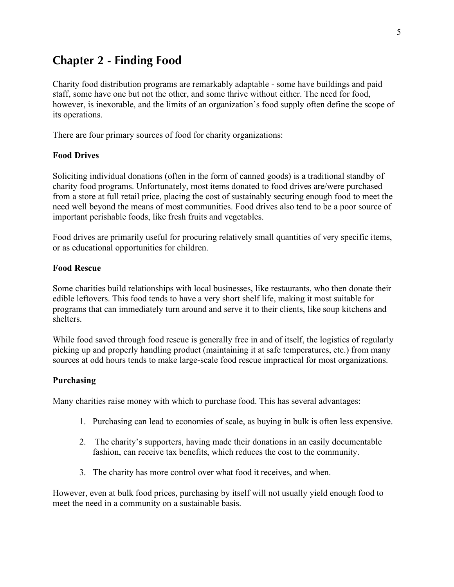## **Chapter 2 - Finding Food**

Charity food distribution programs are remarkably adaptable - some have buildings and paid staff, some have one but not the other, and some thrive without either. The need for food, however, is inexorable, and the limits of an organization's food supply often define the scope of its operations.

There are four primary sources of food for charity organizations:

#### **Food Drives**

Soliciting individual donations (often in the form of canned goods) is a traditional standby of charity food programs. Unfortunately, most items donated to food drives are/were purchased from a store at full retail price, placing the cost of sustainably securing enough food to meet the need well beyond the means of most communities. Food drives also tend to be a poor source of important perishable foods, like fresh fruits and vegetables.

Food drives are primarily useful for procuring relatively small quantities of very specific items, or as educational opportunities for children.

#### **Food Rescue**

Some charities build relationships with local businesses, like restaurants, who then donate their edible leftovers. This food tends to have a very short shelf life, making it most suitable for programs that can immediately turn around and serve it to their clients, like soup kitchens and shelters.

While food saved through food rescue is generally free in and of itself, the logistics of regularly picking up and properly handling product (maintaining it at safe temperatures, etc.) from many sources at odd hours tends to make large-scale food rescue impractical for most organizations.

#### **Purchasing**

Many charities raise money with which to purchase food. This has several advantages:

- 1. Purchasing can lead to economies of scale, as buying in bulk is often less expensive.
- 2. The charity's supporters, having made their donations in an easily documentable fashion, can receive tax benefits, which reduces the cost to the community.
- 3. The charity has more control over what food it receives, and when.

However, even at bulk food prices, purchasing by itself will not usually yield enough food to meet the need in a community on a sustainable basis.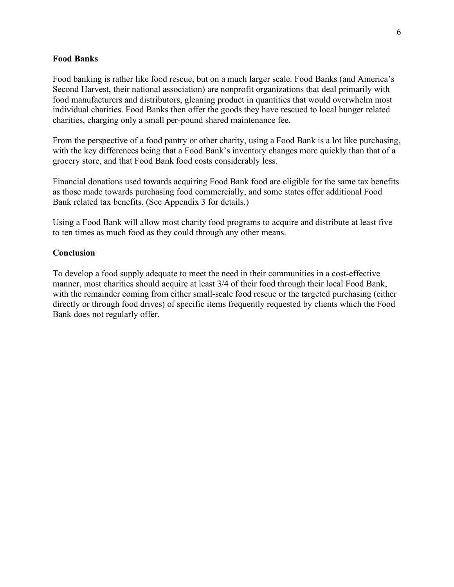#### **Food Banks**

Food banking is rather like food rescue, but on a much larger scale. Food Banks (and America's Second Harvest, their national association) are nonprofit organizations that deal primarily with food manufacturers and distributors, gleaning product in quantities that would overwhelm most individual charities. Food Banks then offer the goods they have rescued to local hunger related charities, charging only a small per-pound shared maintenance fee.

From the perspective of a food pantry or other charity, using a Food Bank is a lot like purchasing, with the key differences being that a Food Bank's inventory changes more quickly than that of a grocery store, and that Food Bank food costs considerably less.

Financial donations used towards acquiring Food Bank food are eligible for the same tax benefits as those made towards purchasing food commercially, and some states offer additional Food Bank related tax benefits. (See Appendix 3 for details.)

Using a Food Bank will allow most charity food programs to acquire and distribute at least five to ten times as much food as they could through any other means.

#### **Conclusion**

To develop a food supply adequate to meet the need in their communities in a cost-effective manner, most charities should acquire at least 3/4 of their food through their local Food Bank, with the remainder coming from either small-scale food rescue or the targeted purchasing (either directly or through food drives) of specific items frequently requested by clients which the Food Bank does not regularly offer.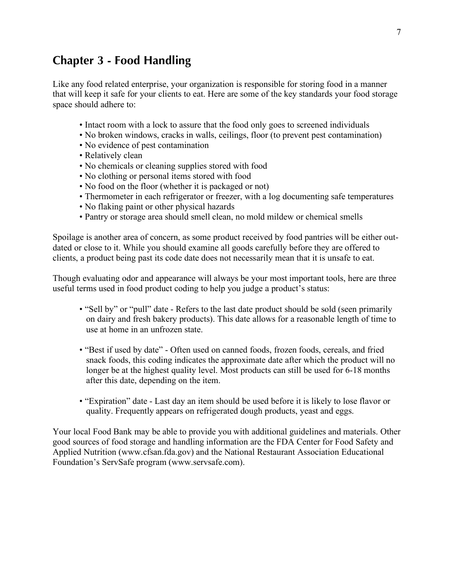## **Chapter 3 - Food Handling**

Like any food related enterprise, your organization is responsible for storing food in a manner that will keep it safe for your clients to eat. Here are some of the key standards your food storage space should adhere to:

- Intact room with a lock to assure that the food only goes to screened individuals
- No broken windows, cracks in walls, ceilings, floor (to prevent pest contamination)
- No evidence of pest contamination
- Relatively clean
- No chemicals or cleaning supplies stored with food
- No clothing or personal items stored with food
- No food on the floor (whether it is packaged or not)
- Thermometer in each refrigerator or freezer, with a log documenting safe temperatures
- No flaking paint or other physical hazards
- Pantry or storage area should smell clean, no mold mildew or chemical smells

Spoilage is another area of concern, as some product received by food pantries will be either outdated or close to it. While you should examine all goods carefully before they are offered to clients, a product being past its code date does not necessarily mean that it is unsafe to eat.

Though evaluating odor and appearance will always be your most important tools, here are three useful terms used in food product coding to help you judge a product's status:

- "Sell by" or "pull" date Refers to the last date product should be sold (seen primarily on dairy and fresh bakery products). This date allows for a reasonable length of time to use at home in an unfrozen state.
- "Best if used by date" Often used on canned foods, frozen foods, cereals, and fried snack foods, this coding indicates the approximate date after which the product will no longer be at the highest quality level. Most products can still be used for 6-18 months after this date, depending on the item.
- "Expiration" date Last day an item should be used before it is likely to lose flavor or quality. Frequently appears on refrigerated dough products, yeast and eggs.

Your local Food Bank may be able to provide you with additional guidelines and materials. Other good sources of food storage and handling information are the FDA Center for Food Safety and Applied Nutrition (www.cfsan.fda.gov) and the National Restaurant Association Educational Foundation's ServSafe program (www.servsafe.com).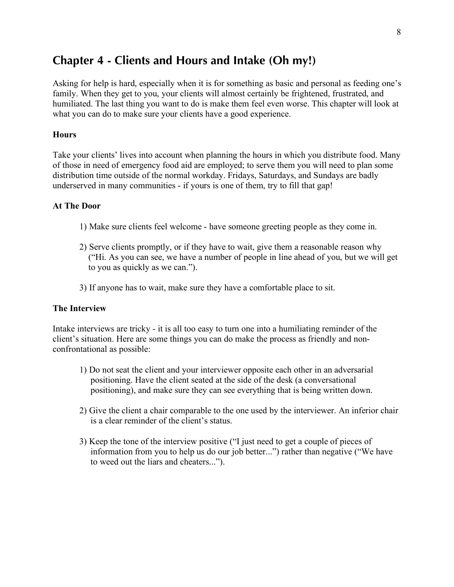## **Chapter 4 - Clients and Hours and Intake (Oh my!)**

Asking for help is hard, especially when it is for something as basic and personal as feeding one's family. When they get to you, your clients will almost certainly be frightened, frustrated, and humiliated. The last thing you want to do is make them feel even worse. This chapter will look at what you can do to make sure your clients have a good experience.

#### **Hours**

Take your clients' lives into account when planning the hours in which you distribute food. Many of those in need of emergency food aid are employed; to serve them you will need to plan some distribution time outside of the normal workday. Fridays, Saturdays, and Sundays are badly underserved in many communities - if yours is one of them, try to fill that gap!

#### **At The Door**

- 1) Make sure clients feel welcome have someone greeting people as they come in.
- 2) Serve clients promptly, or if they have to wait, give them a reasonable reason why ("Hi. As you can see, we have a number of people in line ahead of you, but we will get to you as quickly as we can.").
- 3) If anyone has to wait, make sure they have a comfortable place to sit.

#### **The Interview**

Intake interviews are tricky - it is all too easy to turn one into a humiliating reminder of the client's situation. Here are some things you can do make the process as friendly and nonconfrontational as possible:

- 1) Do not seat the client and your interviewer opposite each other in an adversarial positioning. Have the client seated at the side of the desk (a conversational positioning), and make sure they can see everything that is being written down.
- 2) Give the client a chair comparable to the one used by the interviewer. An inferior chair is a clear reminder of the client's status.
- 3) Keep the tone of the interview positive ("I just need to get a couple of pieces of information from you to help us do our job better...") rather than negative ("We have to weed out the liars and cheaters...").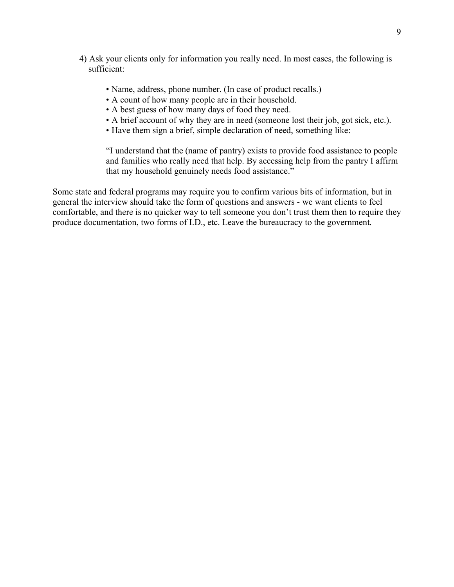- 4) Ask your clients only for information you really need. In most cases, the following is sufficient:
	- Name, address, phone number. (In case of product recalls.)
	- A count of how many people are in their household.
	- A best guess of how many days of food they need.
	- A brief account of why they are in need (someone lost their job, got sick, etc.).
	- Have them sign a brief, simple declaration of need, something like:

"I understand that the (name of pantry) exists to provide food assistance to people and families who really need that help. By accessing help from the pantry I affirm that my household genuinely needs food assistance."

Some state and federal programs may require you to confirm various bits of information, but in general the interview should take the form of questions and answers - we want clients to feel comfortable, and there is no quicker way to tell someone you don't trust them then to require they produce documentation, two forms of I.D., etc. Leave the bureaucracy to the government.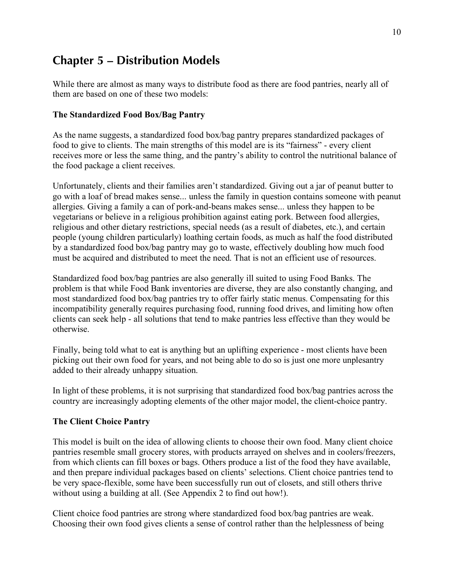# **Chapter 5 – Distribution Models**

While there are almost as many ways to distribute food as there are food pantries, nearly all of them are based on one of these two models:

#### **The Standardized Food Box/Bag Pantry**

As the name suggests, a standardized food box/bag pantry prepares standardized packages of food to give to clients. The main strengths of this model are is its "fairness" - every client receives more or less the same thing, and the pantry's ability to control the nutritional balance of the food package a client receives.

Unfortunately, clients and their families aren't standardized. Giving out a jar of peanut butter to go with a loaf of bread makes sense... unless the family in question contains someone with peanut allergies. Giving a family a can of pork-and-beans makes sense... unless they happen to be vegetarians or believe in a religious prohibition against eating pork. Between food allergies, religious and other dietary restrictions, special needs (as a result of diabetes, etc.), and certain people (young children particularly) loathing certain foods, as much as half the food distributed by a standardized food box/bag pantry may go to waste, effectively doubling how much food must be acquired and distributed to meet the need. That is not an efficient use of resources.

Standardized food box/bag pantries are also generally ill suited to using Food Banks. The problem is that while Food Bank inventories are diverse, they are also constantly changing, and most standardized food box/bag pantries try to offer fairly static menus. Compensating for this incompatibility generally requires purchasing food, running food drives, and limiting how often clients can seek help - all solutions that tend to make pantries less effective than they would be otherwise.

Finally, being told what to eat is anything but an uplifting experience - most clients have been picking out their own food for years, and not being able to do so is just one more unplesantry added to their already unhappy situation.

In light of these problems, it is not surprising that standardized food box/bag pantries across the country are increasingly adopting elements of the other major model, the client-choice pantry.

#### **The Client Choice Pantry**

This model is built on the idea of allowing clients to choose their own food. Many client choice pantries resemble small grocery stores, with products arrayed on shelves and in coolers/freezers, from which clients can fill boxes or bags. Others produce a list of the food they have available, and then prepare individual packages based on clients' selections. Client choice pantries tend to be very space-flexible, some have been successfully run out of closets, and still others thrive without using a building at all. (See Appendix 2 to find out how!).

Client choice food pantries are strong where standardized food box/bag pantries are weak. Choosing their own food gives clients a sense of control rather than the helplessness of being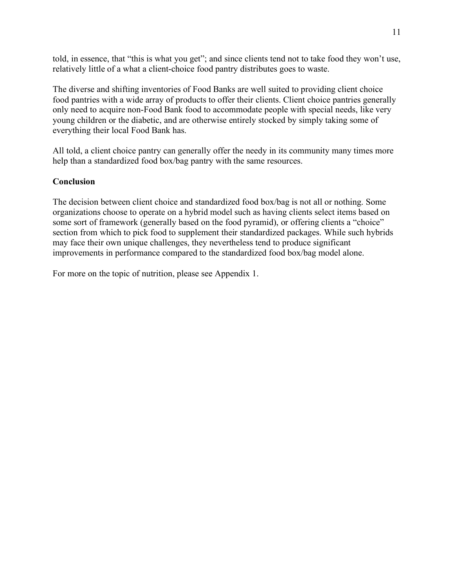told, in essence, that "this is what you get"; and since clients tend not to take food they won't use, relatively little of a what a client-choice food pantry distributes goes to waste.

The diverse and shifting inventories of Food Banks are well suited to providing client choice food pantries with a wide array of products to offer their clients. Client choice pantries generally only need to acquire non-Food Bank food to accommodate people with special needs, like very young children or the diabetic, and are otherwise entirely stocked by simply taking some of everything their local Food Bank has.

All told, a client choice pantry can generally offer the needy in its community many times more help than a standardized food box/bag pantry with the same resources.

#### **Conclusion**

The decision between client choice and standardized food box/bag is not all or nothing. Some organizations choose to operate on a hybrid model such as having clients select items based on some sort of framework (generally based on the food pyramid), or offering clients a "choice" section from which to pick food to supplement their standardized packages. While such hybrids may face their own unique challenges, they nevertheless tend to produce significant improvements in performance compared to the standardized food box/bag model alone.

For more on the topic of nutrition, please see Appendix 1.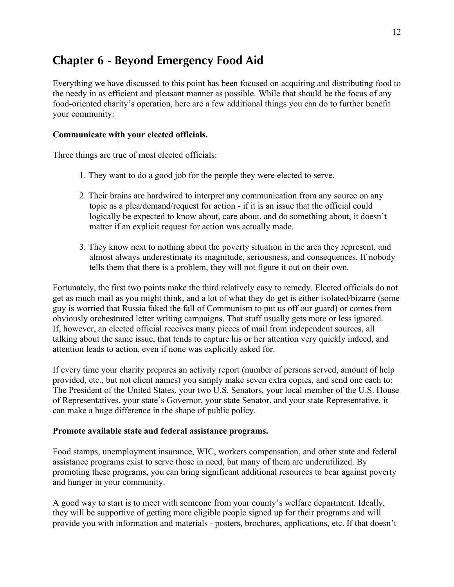# **Chapter 6 - Beyond Emergency Food Aid**

Everything we have discussed to this point has been focused on acquiring and distributing food to the needy in as efficient and pleasant manner as possible. While that should be the focus of any food-oriented charity's operation, here are a few additional things you can do to further benefit your community:

#### **Communicate with your elected officials.**

Three things are true of most elected officials:

- 1. They want to do a good job for the people they were elected to serve.
- 2. Their brains are hardwired to interpret any communication from any source on any topic as a plea/demand/request for action - if it is an issue that the official could logically be expected to know about, care about, and do something about, it doesn't matter if an explicit request for action was actually made.
- 3. They know next to nothing about the poverty situation in the area they represent, and almost always underestimate its magnitude, seriousness, and consequences. If nobody tells them that there is a problem, they will not figure it out on their own.

Fortunately, the first two points make the third relatively easy to remedy. Elected officials do not get as much mail as you might think, and a lot of what they do get is either isolated/bizarre (some guy is worried that Russia faked the fall of Communism to put us off our guard) or comes from obviously orchestrated letter writing campaigns. That stuff usually gets more or less ignored. If, however, an elected official receives many pieces of mail from independent sources, all talking about the same issue, that tends to capture his or her attention very quickly indeed, and attention leads to action, even if none was explicitly asked for.

If every time your charity prepares an activity report (number of persons served, amount of help provided, etc., but not client names) you simply make seven extra copies, and send one each to: The President of the United States, your two U.S. Senators, your local member of the U.S. House of Representatives, your state's Governor, your state Senator, and your state Representative, it can make a huge difference in the shape of public policy.

#### **Promote available state and federal assistance programs.**

Food stamps, unemployment insurance, WIC, workers compensation, and other state and federal assistance programs exist to serve those in need, but many of them are underutilized. By promoting these programs, you can bring significant additional resources to bear against poverty and hunger in your community.

A good way to start is to meet with someone from your county's welfare department. Ideally, they will be supportive of getting more eligible people signed up for their programs and will provide you with information and materials - posters, brochures, applications, etc. If that doesn't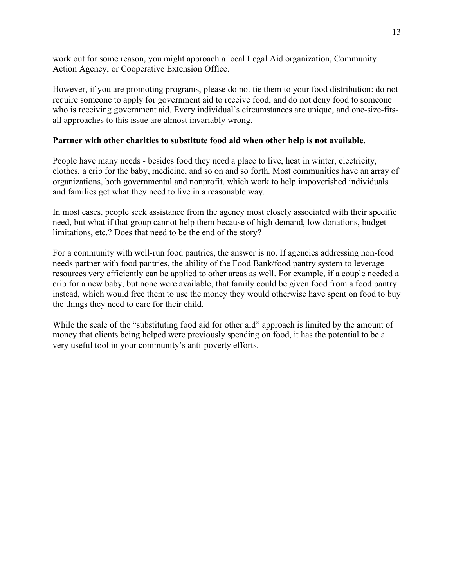work out for some reason, you might approach a local Legal Aid organization, Community Action Agency, or Cooperative Extension Office.

However, if you are promoting programs, please do not tie them to your food distribution: do not require someone to apply for government aid to receive food, and do not deny food to someone who is receiving government aid. Every individual's circumstances are unique, and one-size-fitsall approaches to this issue are almost invariably wrong.

#### **Partner with other charities to substitute food aid when other help is not available.**

People have many needs - besides food they need a place to live, heat in winter, electricity, clothes, a crib for the baby, medicine, and so on and so forth. Most communities have an array of organizations, both governmental and nonprofit, which work to help impoverished individuals and families get what they need to live in a reasonable way.

In most cases, people seek assistance from the agency most closely associated with their specific need, but what if that group cannot help them because of high demand, low donations, budget limitations, etc.? Does that need to be the end of the story?

For a community with well-run food pantries, the answer is no. If agencies addressing non-food needs partner with food pantries, the ability of the Food Bank/food pantry system to leverage resources very efficiently can be applied to other areas as well. For example, if a couple needed a crib for a new baby, but none were available, that family could be given food from a food pantry instead, which would free them to use the money they would otherwise have spent on food to buy the things they need to care for their child.

While the scale of the "substituting food aid for other aid" approach is limited by the amount of money that clients being helped were previously spending on food, it has the potential to be a very useful tool in your community's anti-poverty efforts.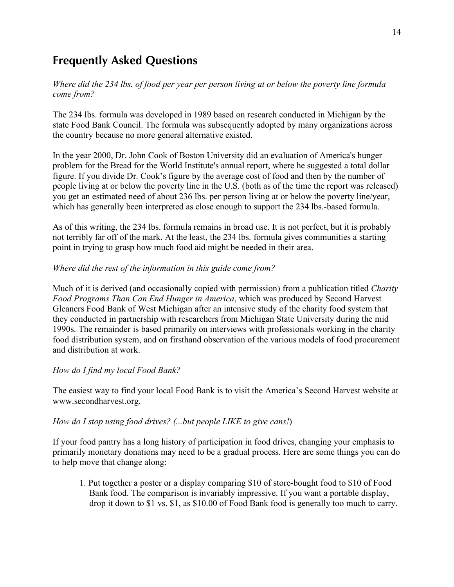# **Frequently Asked Questions**

*Where did the 234 lbs. of food per year per person living at or below the poverty line formula come from?*

The 234 lbs. formula was developed in 1989 based on research conducted in Michigan by the state Food Bank Council. The formula was subsequently adopted by many organizations across the country because no more general alternative existed.

In the year 2000, Dr. John Cook of Boston University did an evaluation of America's hunger problem for the Bread for the World Institute's annual report, where he suggested a total dollar figure. If you divide Dr. Cook's figure by the average cost of food and then by the number of people living at or below the poverty line in the U.S. (both as of the time the report was released) you get an estimated need of about 236 lbs. per person living at or below the poverty line/year, which has generally been interpreted as close enough to support the 234 lbs.-based formula.

As of this writing, the 234 lbs. formula remains in broad use. It is not perfect, but it is probably not terribly far off of the mark. At the least, the 234 lbs. formula gives communities a starting point in trying to grasp how much food aid might be needed in their area.

#### *Where did the rest of the information in this guide come from?*

Much of it is derived (and occasionally copied with permission) from a publication titled *Charity Food Programs Than Can End Hunger in America*, which was produced by Second Harvest Gleaners Food Bank of West Michigan after an intensive study of the charity food system that they conducted in partnership with researchers from Michigan State University during the mid 1990s. The remainder is based primarily on interviews with professionals working in the charity food distribution system, and on firsthand observation of the various models of food procurement and distribution at work.

#### *How do I find my local Food Bank?*

The easiest way to find your local Food Bank is to visit the America's Second Harvest website at www.secondharvest.org.

#### *How do I stop using food drives? (...but people LIKE to give cans!*)

If your food pantry has a long history of participation in food drives, changing your emphasis to primarily monetary donations may need to be a gradual process. Here are some things you can do to help move that change along:

1. Put together a poster or a display comparing \$10 of store-bought food to \$10 of Food Bank food. The comparison is invariably impressive. If you want a portable display, drop it down to \$1 vs. \$1, as \$10.00 of Food Bank food is generally too much to carry.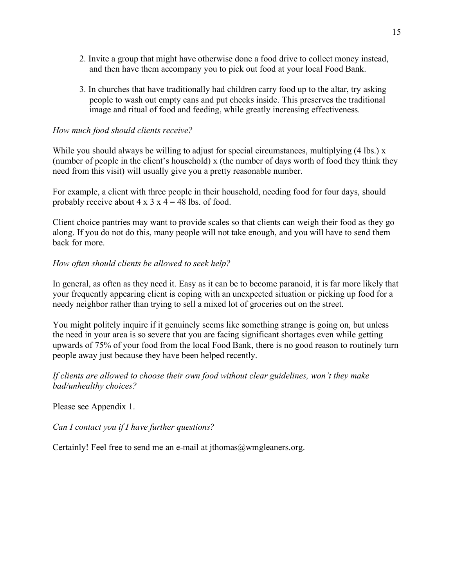- 2. Invite a group that might have otherwise done a food drive to collect money instead, and then have them accompany you to pick out food at your local Food Bank.
- 3. In churches that have traditionally had children carry food up to the altar, try asking people to wash out empty cans and put checks inside. This preserves the traditional image and ritual of food and feeding, while greatly increasing effectiveness.

#### *How much food should clients receive?*

While you should always be willing to adjust for special circumstances, multiplying (4 lbs.) x (number of people in the client's household) x (the number of days worth of food they think they need from this visit) will usually give you a pretty reasonable number.

For example, a client with three people in their household, needing food for four days, should probably receive about  $4 \times 3 \times 4 = 48$  lbs. of food.

Client choice pantries may want to provide scales so that clients can weigh their food as they go along. If you do not do this, many people will not take enough, and you will have to send them back for more.

#### *How often should clients be allowed to seek help?*

In general, as often as they need it. Easy as it can be to become paranoid, it is far more likely that your frequently appearing client is coping with an unexpected situation or picking up food for a needy neighbor rather than trying to sell a mixed lot of groceries out on the street.

You might politely inquire if it genuinely seems like something strange is going on, but unless the need in your area is so severe that you are facing significant shortages even while getting upwards of 75% of your food from the local Food Bank, there is no good reason to routinely turn people away just because they have been helped recently.

*If clients are allowed to choose their own food without clear guidelines, won't they make bad/unhealthy choices?*

Please see Appendix 1.

*Can I contact you if I have further questions?*

Certainly! Feel free to send me an e-mail at jthomas@wmgleaners.org.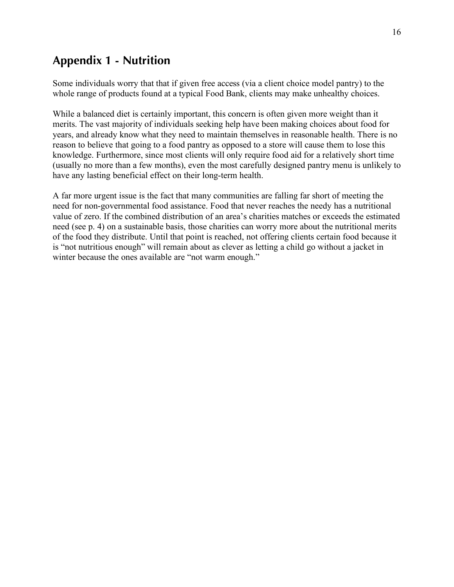# **Appendix 1 - Nutrition**

Some individuals worry that that if given free access (via a client choice model pantry) to the whole range of products found at a typical Food Bank, clients may make unhealthy choices.

While a balanced diet is certainly important, this concern is often given more weight than it merits. The vast majority of individuals seeking help have been making choices about food for years, and already know what they need to maintain themselves in reasonable health. There is no reason to believe that going to a food pantry as opposed to a store will cause them to lose this knowledge. Furthermore, since most clients will only require food aid for a relatively short time (usually no more than a few months), even the most carefully designed pantry menu is unlikely to have any lasting beneficial effect on their long-term health.

A far more urgent issue is the fact that many communities are falling far short of meeting the need for non-governmental food assistance. Food that never reaches the needy has a nutritional value of zero. If the combined distribution of an area's charities matches or exceeds the estimated need (see p. 4) on a sustainable basis, those charities can worry more about the nutritional merits of the food they distribute. Until that point is reached, not offering clients certain food because it is "not nutritious enough" will remain about as clever as letting a child go without a jacket in winter because the ones available are "not warm enough."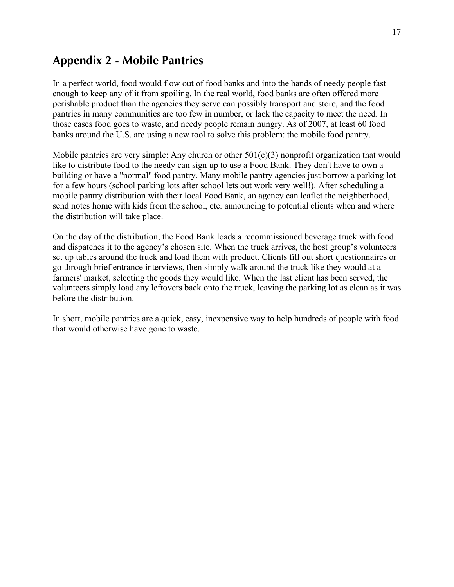## **Appendix 2 - Mobile Pantries**

In a perfect world, food would flow out of food banks and into the hands of needy people fast enough to keep any of it from spoiling. In the real world, food banks are often offered more perishable product than the agencies they serve can possibly transport and store, and the food pantries in many communities are too few in number, or lack the capacity to meet the need. In those cases food goes to waste, and needy people remain hungry. As of 2007, at least 60 food banks around the U.S. are using a new tool to solve this problem: the mobile food pantry.

Mobile pantries are very simple: Any church or other  $501(c)(3)$  nonprofit organization that would like to distribute food to the needy can sign up to use a Food Bank. They don't have to own a building or have a "normal" food pantry. Many mobile pantry agencies just borrow a parking lot for a few hours (school parking lots after school lets out work very well!). After scheduling a mobile pantry distribution with their local Food Bank, an agency can leaflet the neighborhood, send notes home with kids from the school, etc. announcing to potential clients when and where the distribution will take place.

On the day of the distribution, the Food Bank loads a recommissioned beverage truck with food and dispatches it to the agency's chosen site. When the truck arrives, the host group's volunteers set up tables around the truck and load them with product. Clients fill out short questionnaires or go through brief entrance interviews, then simply walk around the truck like they would at a farmers' market, selecting the goods they would like. When the last client has been served, the volunteers simply load any leftovers back onto the truck, leaving the parking lot as clean as it was before the distribution.

In short, mobile pantries are a quick, easy, inexpensive way to help hundreds of people with food that would otherwise have gone to waste.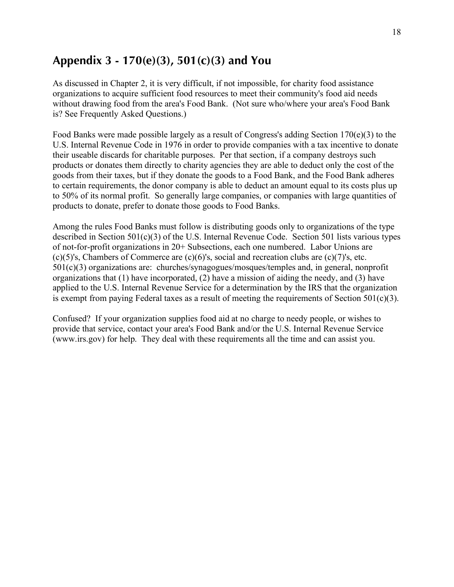## **Appendix 3 - 170(e)(3), 501(c)(3) and You**

As discussed in Chapter 2, it is very difficult, if not impossible, for charity food assistance organizations to acquire sufficient food resources to meet their community's food aid needs without drawing food from the area's Food Bank. (Not sure who/where your area's Food Bank is? See Frequently Asked Questions.)

Food Banks were made possible largely as a result of Congress's adding Section 170(e)(3) to the U.S. Internal Revenue Code in 1976 in order to provide companies with a tax incentive to donate their useable discards for charitable purposes. Per that section, if a company destroys such products or donates them directly to charity agencies they are able to deduct only the cost of the goods from their taxes, but if they donate the goods to a Food Bank, and the Food Bank adheres to certain requirements, the donor company is able to deduct an amount equal to its costs plus up to 50% of its normal profit. So generally large companies, or companies with large quantities of products to donate, prefer to donate those goods to Food Banks.

Among the rules Food Banks must follow is distributing goods only to organizations of the type described in Section 501(c)(3) of the U.S. Internal Revenue Code. Section 501 lists various types of not-for-profit organizations in 20+ Subsections, each one numbered. Labor Unions are (c)(5)'s, Chambers of Commerce are (c)(6)'s, social and recreation clubs are (c)(7)'s, etc. 501(c)(3) organizations are: churches/synagogues/mosques/temples and, in general, nonprofit organizations that (1) have incorporated, (2) have a mission of aiding the needy, and (3) have applied to the U.S. Internal Revenue Service for a determination by the IRS that the organization is exempt from paying Federal taxes as a result of meeting the requirements of Section  $501(c)(3)$ .

Confused? If your organization supplies food aid at no charge to needy people, or wishes to provide that service, contact your area's Food Bank and/or the U.S. Internal Revenue Service (www.irs.gov) for help. They deal with these requirements all the time and can assist you.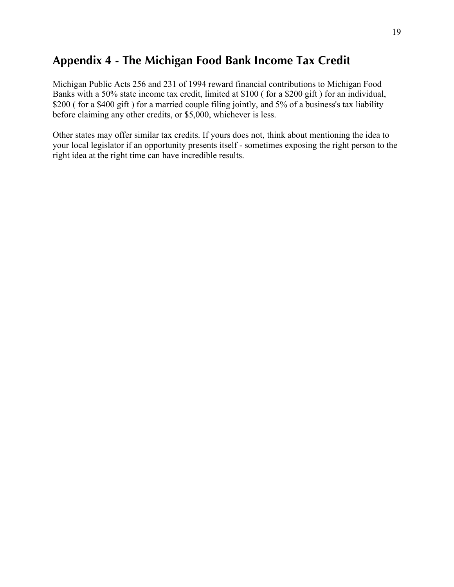# **Appendix 4 - The Michigan Food Bank Income Tax Credit**

Michigan Public Acts 256 and 231 of 1994 reward financial contributions to Michigan Food Banks with a 50% state income tax credit, limited at \$100 ( for a \$200 gift ) for an individual, \$200 ( for a \$400 gift ) for a married couple filing jointly, and 5% of a business's tax liability before claiming any other credits, or \$5,000, whichever is less.

Other states may offer similar tax credits. If yours does not, think about mentioning the idea to your local legislator if an opportunity presents itself - sometimes exposing the right person to the right idea at the right time can have incredible results.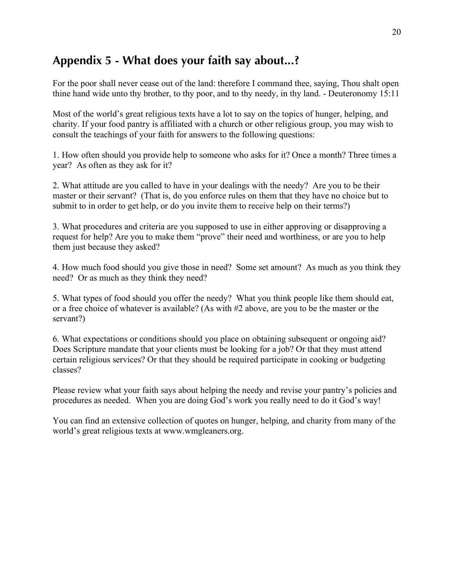# **Appendix 5 - What does your faith say about...?**

For the poor shall never cease out of the land: therefore I command thee, saying, Thou shalt open thine hand wide unto thy brother, to thy poor, and to thy needy, in thy land. - Deuteronomy 15:11

Most of the world's great religious texts have a lot to say on the topics of hunger, helping, and charity. If your food pantry is affiliated with a church or other religious group, you may wish to consult the teachings of your faith for answers to the following questions:

1. How often should you provide help to someone who asks for it? Once a month? Three times a year? As often as they ask for it?

2. What attitude are you called to have in your dealings with the needy? Are you to be their master or their servant? (That is, do you enforce rules on them that they have no choice but to submit to in order to get help, or do you invite them to receive help on their terms?)

3. What procedures and criteria are you supposed to use in either approving or disapproving a request for help? Are you to make them "prove" their need and worthiness, or are you to help them just because they asked?

4. How much food should you give those in need? Some set amount? As much as you think they need? Or as much as they think they need?

5. What types of food should you offer the needy? What you think people like them should eat, or a free choice of whatever is available? (As with #2 above, are you to be the master or the servant?)

6. What expectations or conditions should you place on obtaining subsequent or ongoing aid? Does Scripture mandate that your clients must be looking for a job? Or that they must attend certain religious services? Or that they should be required participate in cooking or budgeting classes?

Please review what your faith says about helping the needy and revise your pantry's policies and procedures as needed. When you are doing God's work you really need to do it God's way!

You can find an extensive collection of quotes on hunger, helping, and charity from many of the world's great religious texts at www.wmgleaners.org.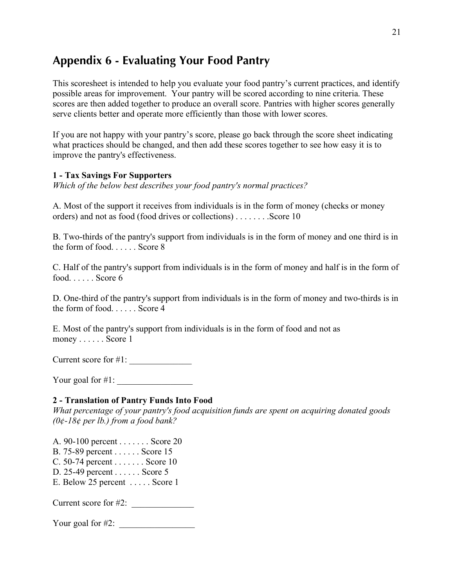# **Appendix 6 - Evaluating Your Food Pantry**

This scoresheet is intended to help you evaluate your food pantry's current practices, and identify possible areas for improvement. Your pantry will be scored according to nine criteria. These scores are then added together to produce an overall score. Pantries with higher scores generally serve clients better and operate more efficiently than those with lower scores.

If you are not happy with your pantry's score, please go back through the score sheet indicating what practices should be changed, and then add these scores together to see how easy it is to improve the pantry's effectiveness.

#### **1 - Tax Savings For Supporters**

*Which of the below best describes your food pantry's normal practices?* 

A. Most of the support it receives from individuals is in the form of money (checks or money orders) and not as food (food drives or collections) . . . . . . . . . Score 10

B. Two-thirds of the pantry's support from individuals is in the form of money and one third is in the form of food. . . . . . Score 8

C. Half of the pantry's support from individuals is in the form of money and half is in the form of food. . . . . . Score 6

D. One-third of the pantry's support from individuals is in the form of money and two-thirds is in the form of food. . . . . . Score 4

E. Most of the pantry's support from individuals is in the form of food and not as money . . . . . . Score 1

Current score for #1:

Your goal for  $\#1$ :

#### **2 - Translation of Pantry Funds Into Food**

*What percentage of your pantry's food acquisition funds are spent on acquiring donated goods (0¢-18¢ per lb.) from a food bank?* 

A. 90-100 percent . . . . . . . Score 20

B. 75-89 percent . . . . . . Score 15

- C. 50-74 percent . . . . . . . Score 10
- D. 25-49 percent . . . . . . Score 5
- E. Below 25 percent . . . . . Score 1

Current score for  $\#2$ :

Your goal for  $\#2$ :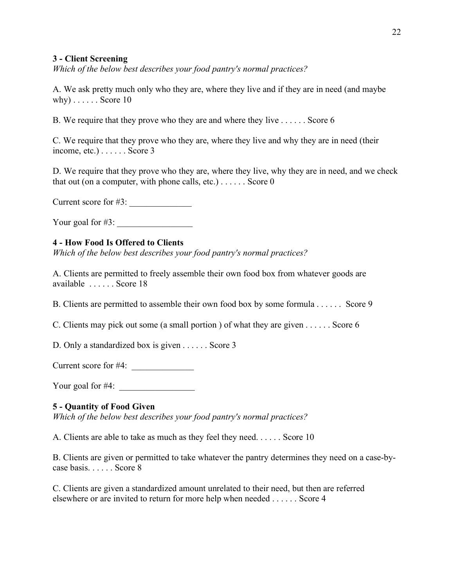#### **3 - Client Screening**

*Which of the below best describes your food pantry's normal practices?* 

A. We ask pretty much only who they are, where they live and if they are in need (and maybe why) . . . . . . Score 10

B. We require that they prove who they are and where they live . . . . . . Score 6

C. We require that they prove who they are, where they live and why they are in need (their income, etc.) . . . . . . Score 3

D. We require that they prove who they are, where they live, why they are in need, and we check that out (on a computer, with phone calls, etc.)  $\ldots$ . Score 0

Current score for  $#3$ :

Your goal for  $\#3$ :

#### **4 - How Food Is Offered to Clients**

*Which of the below best describes your food pantry's normal practices?* 

A. Clients are permitted to freely assemble their own food box from whatever goods are available . . . . . . Score 18

B. Clients are permitted to assemble their own food box by some formula . . . . . . Score 9

C. Clients may pick out some (a small portion ) of what they are given . . . . . . Score 6

D. Only a standardized box is given . . . . . . Score 3

Current score for  $#4$ :  $\_\_\_\_\_\_\_\_\_\_\_\_\_\_\_\_$ 

Your goal for  $#4$ :

#### **5 - Quantity of Food Given**

*Which of the below best describes your food pantry's normal practices?* 

A. Clients are able to take as much as they feel they need. . . . . . Score 10

B. Clients are given or permitted to take whatever the pantry determines they need on a case-bycase basis. . . . . . Score 8

C. Clients are given a standardized amount unrelated to their need, but then are referred elsewhere or are invited to return for more help when needed . . . . . . Score 4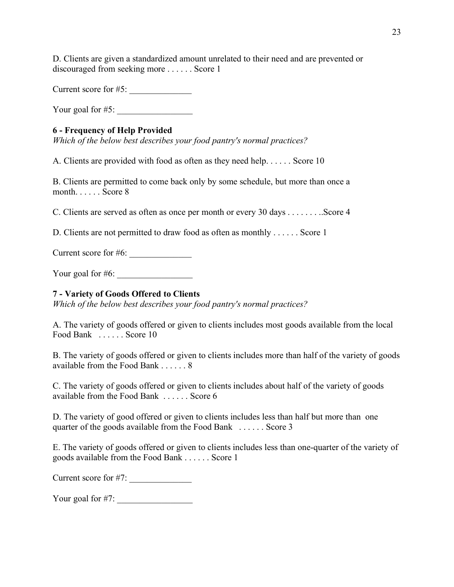D. Clients are given a standardized amount unrelated to their need and are prevented or discouraged from seeking more . . . . . . Score 1

Current score for  $#5$ :

Your goal for  $#5$ :

#### **6 - Frequency of Help Provided**

*Which of the below best describes your food pantry's normal practices?* 

A. Clients are provided with food as often as they need help. . . . . . Score 10

B. Clients are permitted to come back only by some schedule, but more than once a month. . . . . . Score 8

C. Clients are served as often as once per month or every 30 days . . . . . . . ..Score 4

D. Clients are not permitted to draw food as often as monthly . . . . . . Score 1

Current score for  $#6$ :

Your goal for  $#6$ :

#### **7 - Variety of Goods Offered to Clients**

*Which of the below best describes your food pantry's normal practices?* 

A. The variety of goods offered or given to clients includes most goods available from the local Food Bank . . . . . . Score 10

B. The variety of goods offered or given to clients includes more than half of the variety of goods available from the Food Bank . . . . . . 8

C. The variety of goods offered or given to clients includes about half of the variety of goods available from the Food Bank . . . . . . Score 6

D. The variety of good offered or given to clients includes less than half but more than one quarter of the goods available from the Food Bank . . . . . . Score 3

E. The variety of goods offered or given to clients includes less than one-quarter of the variety of goods available from the Food Bank . . . . . . Score 1

Current score for #7:

Your goal for #7: